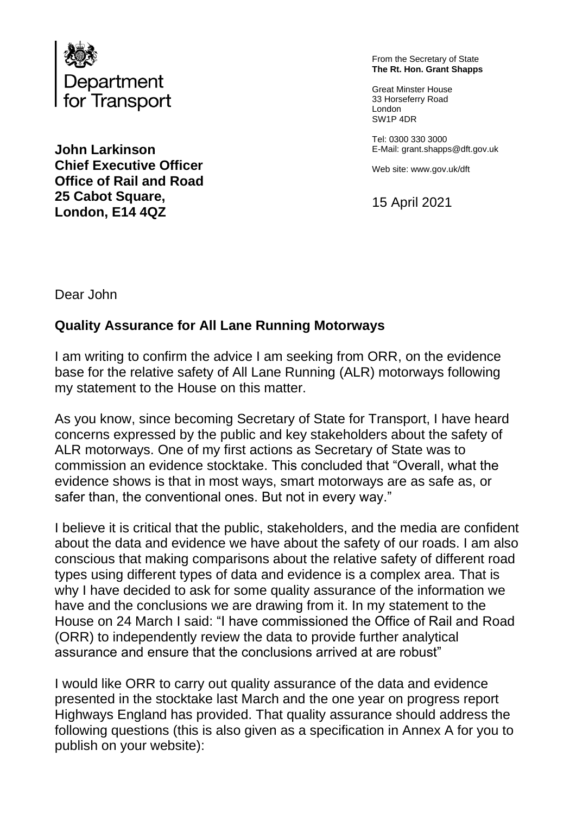

**John Larkinson Chief Executive Officer Office of Rail and Road 25 Cabot Square, London, E14 4QZ**

From the Secretary of State **The Rt. Hon. Grant Shapps**

Great Minster House 33 Horseferry Road London SW1P 4DR

Tel: 0300 330 3000 E-Mail: grant.shapps@dft.gov.uk

Web site: www.gov.uk/dft

15 April 2021

Dear John

## **Quality Assurance for All Lane Running Motorways**

I am writing to confirm the advice I am seeking from ORR, on the evidence base for the relative safety of All Lane Running (ALR) motorways following my statement to the House on this matter.

As you know, since becoming Secretary of State for Transport, I have heard concerns expressed by the public and key stakeholders about the safety of ALR motorways. One of my first actions as Secretary of State was to commission an evidence stocktake. This concluded that "Overall, what the evidence shows is that in most ways, smart motorways are as safe as, or safer than, the conventional ones. But not in every way."

I believe it is critical that the public, stakeholders, and the media are confident about the data and evidence we have about the safety of our roads. I am also conscious that making comparisons about the relative safety of different road types using different types of data and evidence is a complex area. That is why I have decided to ask for some quality assurance of the information we have and the conclusions we are drawing from it. In my statement to the House on 24 March I said: "I have commissioned the Office of Rail and Road (ORR) to independently review the data to provide further analytical assurance and ensure that the conclusions arrived at are robust"

I would like ORR to carry out quality assurance of the data and evidence presented in the stocktake last March and the one year on progress report Highways England has provided. That quality assurance should address the following questions (this is also given as a specification in Annex A for you to publish on your website):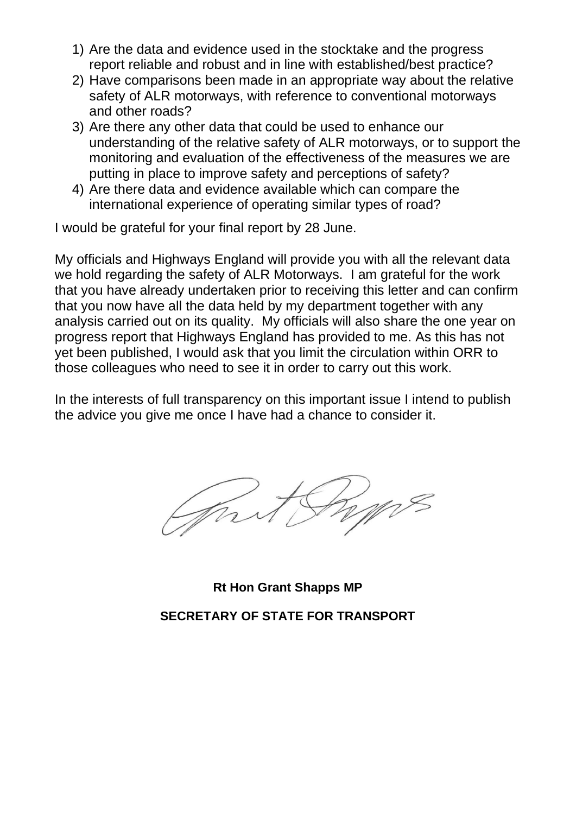- 1) Are the data and evidence used in the stocktake and the progress report reliable and robust and in line with established/best practice?
- 2) Have comparisons been made in an appropriate way about the relative safety of ALR motorways, with reference to conventional motorways and other roads?
- 3) Are there any other data that could be used to enhance our understanding of the relative safety of ALR motorways, or to support the monitoring and evaluation of the effectiveness of the measures we are putting in place to improve safety and perceptions of safety?
- 4) Are there data and evidence available which can compare the international experience of operating similar types of road?

I would be grateful for your final report by 28 June.

My officials and Highways England will provide you with all the relevant data we hold regarding the safety of ALR Motorways. I am grateful for the work that you have already undertaken prior to receiving this letter and can confirm that you now have all the data held by my department together with any analysis carried out on its quality. My officials will also share the one year on progress report that Highways England has provided to me. As this has not yet been published, I would ask that you limit the circulation within ORR to those colleagues who need to see it in order to carry out this work.

In the interests of full transparency on this important issue I intend to publish the advice you give me once I have had a chance to consider it.

**Rt Hon Grant Shapps MP**

**SECRETARY OF STATE FOR TRANSPORT**